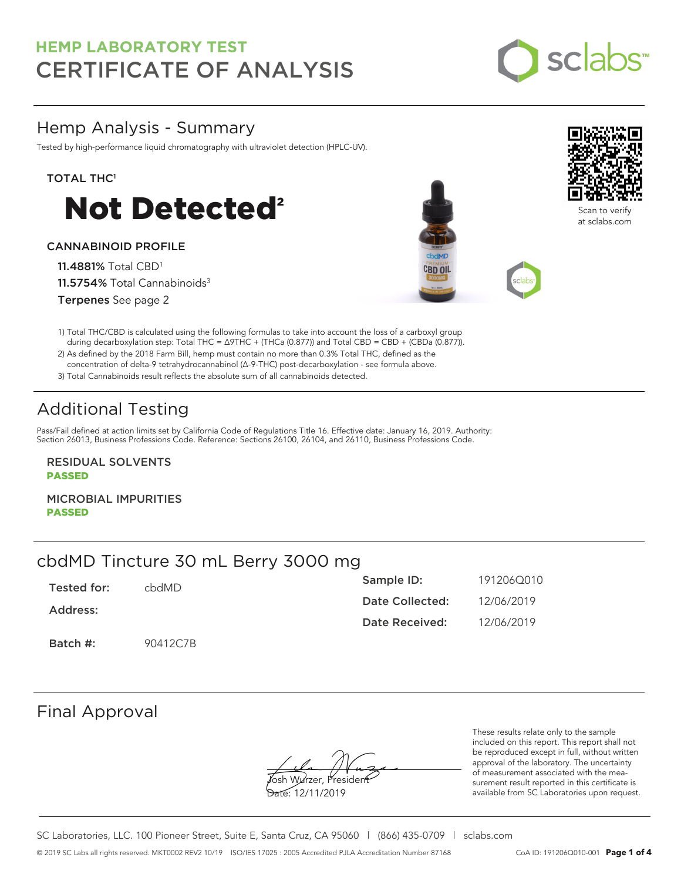

## Hemp Analysis - Summary

Tested by high-performance liquid chromatography with ultraviolet detection (HPLC-UV).

### TOTAL THC<sup>1</sup>



### CANNABINOID PROFILE

11.4881% Total CBD<sup>1</sup> 11.5754% Total Cannabinoids<sup>3</sup> Terpenes See page 2





Scan to verify at sclabs.com

1) Total THC/CBD is calculated using the following formulas to take into account the loss of a carboxyl group during decarboxylation step: Total THC = ∆9THC + (THCa (0.877)) and Total CBD = CBD + (CBDa (0.877)).

2) As defined by the 2018 Farm Bill, hemp must contain no more than 0.3% Total THC, defined as the concentration of delta-9 tetrahydrocannabinol (Δ-9-THC) post-decarboxylation - see formula above.

3) Total Cannabinoids result reflects the absolute sum of all cannabinoids detected.

# Additional Testing

Pass/Fail defined at action limits set by California Code of Regulations Title 16. Effective date: January 16, 2019. Authority: Section 26013, Business Professions Code. Reference: Sections 26100, 26104, and 26110, Business Professions Code.

RESIDUAL SOLVENTS PASSED

MICROBIAL IMPURITIES PASSED

## cbdMD Tincture 30 mL Berry 3000 mg

| Tested for: | chdMD.   | Sample ID:      | 191206Q010 |
|-------------|----------|-----------------|------------|
| Address:    |          | Date Collected: | 12/06/2019 |
|             |          | Date Received:  | 12/06/2019 |
| Batch #:    | 90412C7B |                 |            |

## Final Approval

**J**osh Wurzer, Presiden<del>t</del>

Date: 12/11/2019

These results relate only to the sample included on this report. This report shall not be reproduced except in full, without written approval of the laboratory. The uncertainty of measurement associated with the measurement result reported in this certificate is available from SC Laboratories upon request.

SC Laboratories, LLC. 100 Pioneer Street, Suite E, Santa Cruz, CA 95060 | (866) 435-0709 | sclabs.com © 2019 SC Labs all rights reserved. MKT0002 REV2 10/19 ISO/IES 17025 : 2005 Accredited PJLA Accreditation Number 87168 CoA ID: 191206Q010-001 **Page 1 of 4**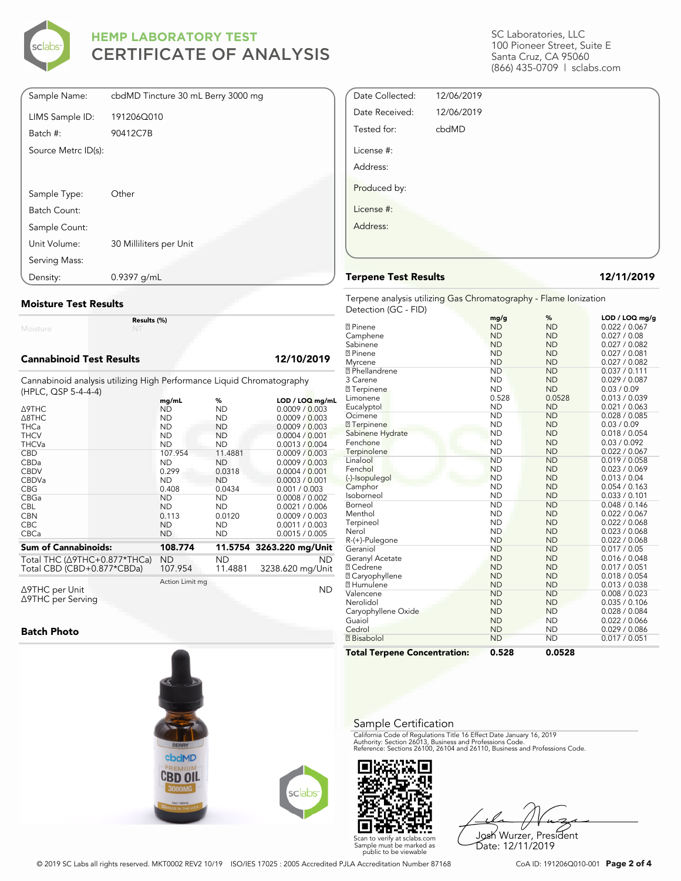

| Sample Name:        | cbdMD Tincture 30 mL Berry 3000 mg |
|---------------------|------------------------------------|
| LIMS Sample ID:     | 191206Q010                         |
| Batch #:            | 90412C7B                           |
| Source Metrc ID(s): |                                    |
|                     |                                    |
| Sample Type:        | Other                              |
| Batch Count:        |                                    |
| Sample Count:       |                                    |
| Unit Volume:        | 30 Milliliters per Unit            |
| Serving Mass:       |                                    |
| Density:            | $0.9397$ g/mL                      |

### **Moisture Test Results**

Moisture

### **Cannabinoid Test Results 12/10/2019**

Cannabinoid analysis utilizing High Performance Liquid Chromatography (HPLC, QSP 5-4-4-4)

**Results (%)**

|                                      | mq/mL           | %         | LOD / LOQ mg/mL          |
|--------------------------------------|-----------------|-----------|--------------------------|
| <b>A9THC</b>                         | ND              | ND        | 0.0009 / 0.003           |
| A8THC                                | <b>ND</b>       | <b>ND</b> | 0.0009 / 0.003           |
| <b>THCa</b>                          | <b>ND</b>       | ND.       | 0.0009 / 0.003           |
| <b>THCV</b>                          | <b>ND</b>       | ND        | 0.0004 / 0.001           |
| <b>THCVa</b>                         | <b>ND</b>       | <b>ND</b> | 0.0013 / 0.004           |
| <b>CBD</b>                           | 107.954         | 11.4881   | 0.0009 / 0.003           |
| CBDa                                 | <b>ND</b>       | ND        | 0.0009 / 0.003           |
| <b>CBDV</b>                          | 0.299           | 0.0318    | 0.0004 / 0.001           |
| <b>CBDVa</b>                         | <b>ND</b>       | ND.       | 0.0003 / 0.001           |
| <b>CBG</b>                           | 0.408           | 0.0434    | 0.001 / 0.003            |
| CBGa                                 | <b>ND</b>       | <b>ND</b> | 0.0008 / 0.002           |
| <b>CBL</b>                           | <b>ND</b>       | <b>ND</b> | 0.0021 / 0.006           |
| <b>CBN</b>                           | 0.113           | 0.0120    | 0.0009 / 0.003           |
| <b>CBC</b>                           | <b>ND</b>       | ND        | 0.0011 / 0.003           |
| <b>CBCa</b>                          | <b>ND</b>       | ND        | 0.0015 / 0.005           |
| <b>Sum of Cannabinoids:</b>          | 108.774         |           | 11.5754 3263.220 mg/Unit |
| Total THC $(\Delta$ 9THC+0.877*THCa) | ND              | ND.       | <b>ND</b>                |
| Total CBD (CBD+0.877*CBDa)           | 107.954         | 11.4881   | 3238.620 mg/Unit         |
| ∆9THC per Unit                       | Action Limit mg |           | ND                       |
|                                      |                 |           |                          |

Δ9THC per Unit Δ9THC per Serving

### **Batch Photo**



SC Laboratories, LLC 100 Pioneer Street, Suite E Santa Cruz, CA 95060 (866) 435-0709 | sclabs.com

| Date Collected: | 12/06/2019 |  |
|-----------------|------------|--|
| Date Received:  | 12/06/2019 |  |
| Tested for:     | cbdMD      |  |
| License #:      |            |  |
| Address:        |            |  |
| Produced by:    |            |  |
| License #:      |            |  |
| Address:        |            |  |
|                 |            |  |

### **Terpene Test Results 12/11/2019**

Terpene analysis utilizing Gas Chromatography - Flame Ionization Detection (GC - FID)

| <b>Total Terpene Concentration:</b> | 0.528             | 0.0528         |                                 |
|-------------------------------------|-------------------|----------------|---------------------------------|
| <b>7</b> Bisabolol                  | <b>ND</b>         | <b>ND</b>      | 0.017 / 0.051                   |
| Cedrol                              | <b>ND</b>         | <b>ND</b>      | 0.029 / 0.086                   |
| Guaiol                              | <b>ND</b>         | <b>ND</b>      | 0.022 / 0.066                   |
| Caryophyllene Oxide                 | <b>ND</b>         | <b>ND</b>      | 0.028 / 0.084                   |
| Nerolidol                           | <b>ND</b>         | <b>ND</b>      | 0.035 / 0.106                   |
| Valencene                           | <b>ND</b>         | <b>ND</b>      | 0.008 / 0.023                   |
| <b>7 Humulene</b>                   | <b>ND</b>         | <b>ND</b>      | 0.013 / 0.038                   |
| <b>7</b> Caryophyllene              | <b>ND</b>         | <b>ND</b>      | 0.018 / 0.054                   |
| <b>7 Cedrene</b>                    | <b>ND</b>         | <b>ND</b>      | 0.017 / 0.051                   |
| Geranyl Acetate                     | <b>ND</b>         | <b>ND</b>      | 0.016 / 0.048                   |
| Geraniol                            | <b>ND</b>         | <b>ND</b>      | 0.017 / 0.05                    |
| R-(+)-Pulegone                      | <b>ND</b>         | <b>ND</b>      | 0.022 / 0.068                   |
| Nerol                               | <b>ND</b>         | <b>ND</b>      | 0.023 / 0.068                   |
| Terpineol                           | <b>ND</b>         | <b>ND</b>      | 0.022 / 0.068                   |
| Menthol                             | <b>ND</b>         | <b>ND</b>      | 0.022 / 0.067                   |
| Borneol                             | <b>ND</b>         | <b>ND</b>      | 0.048 / 0.146                   |
| Isoborneol                          | <b>ND</b>         | <b>ND</b>      | 0.033 / 0.101                   |
| Camphor                             | <b>ND</b>         | <b>ND</b>      | 0.054 / 0.163                   |
| (-)-Isopulegol                      | <b>ND</b>         | <b>ND</b>      | 0.013 / 0.04                    |
| Fenchol                             | <b>ND</b>         | <b>ND</b>      | 0.023 / 0.069                   |
| Linalool                            | <b>ND</b>         | <b>ND</b>      | 0.019 / 0.058                   |
| Terpinolene                         | <b>ND</b>         | <b>ND</b>      | 0.022 / 0.067                   |
| Fenchone                            | <b>ND</b>         | <b>ND</b>      | 0.03 / 0.092                    |
| Sabinene Hydrate                    | <b>ND</b>         | <b>ND</b>      | 0.018 / 0.054                   |
| <b>7</b> Terpinene                  | <b>ND</b>         | <b>ND</b>      | 0.03 / 0.09                     |
| Ocimene                             | <b>ND</b>         | <b>ND</b>      | 0.028 / 0.085                   |
| Eucalyptol                          | <b>ND</b>         | <b>ND</b>      | 0.021 / 0.063                   |
| Limonene                            | 0.528             | 0.0528         | 0.013 / 0.039                   |
| <b>7</b> Terpinene                  | <b>ND</b>         | <b>ND</b>      | 0.03 / 0.09                     |
| 3 Carene                            | <b>ND</b>         | <b>ND</b>      | 0.029 / 0.087                   |
| <b>7</b> Phellandrene               | <b>ND</b>         | <b>ND</b>      | 0.037 / 0.111                   |
| Myrcene                             | <b>ND</b>         | <b>ND</b>      | 0.027 / 0.082                   |
| <b>2</b> Pinene                     | <b>ND</b>         | <b>ND</b>      | 0.027 / 0.081                   |
| Camphene<br>Sabinene                | <b>ND</b>         | <b>ND</b>      | 0.027 / 0.082                   |
|                                     | <b>ND</b>         | <b>ND</b>      | 0.027 / 0.08                    |
| <b>2</b> Pinene                     | mg/g<br><b>ND</b> | %<br><b>ND</b> | LOD / LOQ mg/g<br>0.022 / 0.067 |
|                                     |                   |                |                                 |

### Sample Certification

California Code of Regulations Title 16 Effect Date January 16, 2019<br>Authority: Section 26013, Business and Professions Code.<br>Reference: Sections 26100, 26104 and 26110, Business and Professions Code.



Josh Wurzer, President Date: 12/11/2019

© 2019 SC Labs all rights reserved. MKT0002 REV2 10/19 ISO/IES 17025 : 2005 Accredited PJLA Accreditation Number 87168 CoA ID: 191206Q010-001 **Page 2 of 4**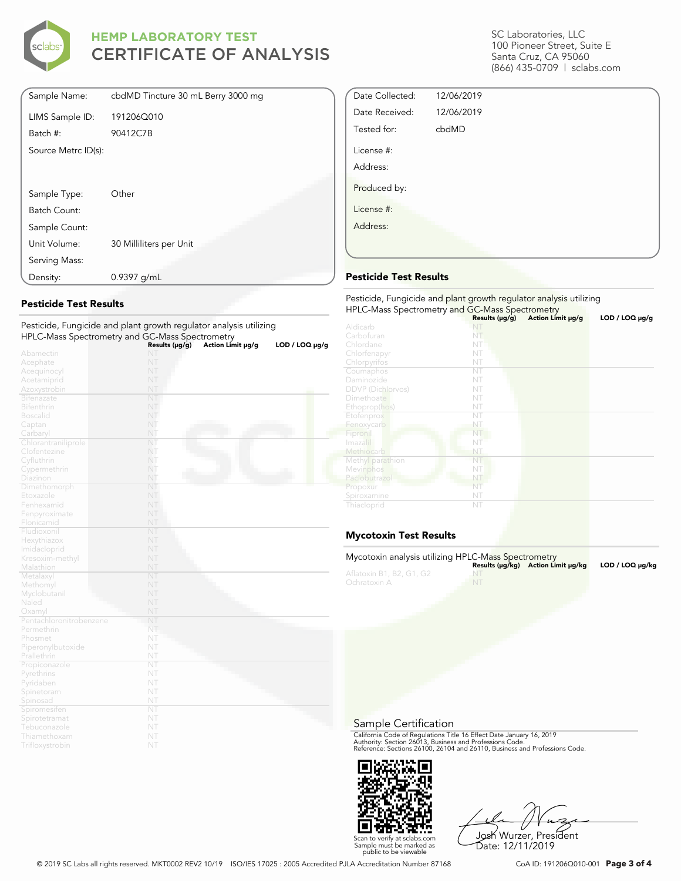

| Sample Name:        | cbdMD Tincture 30 mL Berry 3000 mg |
|---------------------|------------------------------------|
| LIMS Sample ID:     | 191206Q010                         |
| Batch #:            | 90412C7B                           |
| Source Metrc ID(s): |                                    |
|                     |                                    |
|                     |                                    |
| Sample Type:        | Other                              |
| Batch Count:        |                                    |
| Sample Count:       |                                    |
| Unit Volume:        | 30 Milliliters per Unit            |
| Serving Mass:       |                                    |
| Density:            | 0.9397 g/mL                        |

### **Pesticide Test Results**

| Pesticide, Fungicide and plant growth regulator analysis utilizing |                        |                   |                     |
|--------------------------------------------------------------------|------------------------|-------------------|---------------------|
| HPLC-Mass Spectrometry and GC-Mass Spectrometry                    |                        |                   |                     |
|                                                                    | Results (µg/g)         | Action Limit µg/g | $LOD / LOQ \mu g/g$ |
| Abamectin                                                          | NT                     |                   |                     |
| Acephate                                                           | NT                     |                   |                     |
| Acequinocyl                                                        | NT                     |                   |                     |
| Acetamiprid                                                        | NT                     |                   |                     |
| Azoxystrobin                                                       | NT                     |                   |                     |
| <b>Bifenazate</b>                                                  | NT                     |                   |                     |
| <b>Bifenthrin</b>                                                  | NT                     |                   |                     |
| <b>Boscalid</b>                                                    | NT                     |                   |                     |
| Captan                                                             | NT                     |                   |                     |
| Carbaryl                                                           | NT                     |                   |                     |
| Chlorantraniliprole                                                | NT                     |                   |                     |
| Clofentezine                                                       | NT                     |                   |                     |
| Cyfluthrin                                                         | NT                     |                   |                     |
| Cypermethrin                                                       | NT                     |                   |                     |
| Diazinon                                                           | NT                     |                   |                     |
| Dimethomorph                                                       | NT                     |                   |                     |
| Etoxazole                                                          | NT                     |                   |                     |
| Fenhexamid                                                         | NT                     |                   |                     |
| Fenpyroximate                                                      | NT                     |                   |                     |
| Flonicamid                                                         | NT                     |                   |                     |
| Fludioxonil                                                        | NT                     |                   |                     |
| Hexythiazox                                                        | NT                     |                   |                     |
| Imidacloprid                                                       | NT                     |                   |                     |
| Kresoxim-methyl                                                    | NT                     |                   |                     |
| Malathion                                                          | NT                     |                   |                     |
| Metalaxyl                                                          | NT                     |                   |                     |
| Methomyl                                                           | NT                     |                   |                     |
| Myclobutanil                                                       | NT                     |                   |                     |
| Naled                                                              | NT                     |                   |                     |
| Oxamyl                                                             | NT                     |                   |                     |
| Pentachloronitrobenzene                                            | NT                     |                   |                     |
| Permethrin                                                         | NT                     |                   |                     |
| Phosmet                                                            | NT                     |                   |                     |
| Piperonylbutoxide                                                  | NT                     |                   |                     |
| Prallethrin                                                        | NT                     |                   |                     |
| Propiconazole                                                      | NT                     |                   |                     |
| Pyrethrins                                                         | NT                     |                   |                     |
| Pyridaben                                                          | NT                     |                   |                     |
| Spinetoram                                                         | NT                     |                   |                     |
| Spinosad                                                           | NT                     |                   |                     |
| Spiromesiten                                                       | $\overline{\text{NT}}$ |                   |                     |
| Spirotetramat                                                      | NT                     |                   |                     |
| Tebuconazole                                                       | NT                     |                   |                     |
| Thiamethoxam                                                       | NT                     |                   |                     |
| Trifloxystrobin                                                    | NT                     |                   |                     |

SC Laboratories, LLC 100 Pioneer Street, Suite E Santa Cruz, CA 95060 (866) 435-0709 | sclabs.com

| Date Collected: | 12/06/2019 |  |
|-----------------|------------|--|
| Date Received:  | 12/06/2019 |  |
| Tested for:     | cbdMD      |  |
| License #:      |            |  |
| Address:        |            |  |
| Produced by:    |            |  |
| License #:      |            |  |
| Address:        |            |  |
|                 |            |  |

### **Pesticide Test Results**

| Pesticide, Fungicide and plant growth regulator analysis utilizing<br>HPLC-Mass Spectrometry and GC-Mass Spectrometry |                     |                   |                |  |
|-----------------------------------------------------------------------------------------------------------------------|---------------------|-------------------|----------------|--|
|                                                                                                                       | Results $(\mu g/g)$ | Action Limit µg/g | LOD / LOQ µg/g |  |
| Aldicarb                                                                                                              |                     |                   |                |  |
| Carbofuran                                                                                                            | NT                  |                   |                |  |
| Chlordane                                                                                                             | NT                  |                   |                |  |
| Chlorfenapyr                                                                                                          | NT                  |                   |                |  |
| Chlorpyrifos                                                                                                          | NT                  |                   |                |  |
| Coumaphos                                                                                                             | NT                  |                   |                |  |
| Daminozide                                                                                                            | NT                  |                   |                |  |
| <b>DDVP</b> (Dichlorvos)                                                                                              | NT                  |                   |                |  |
| Dimethoate                                                                                                            | NT                  |                   |                |  |
| Ethoprop(hos)                                                                                                         | NT                  |                   |                |  |
| Etofenprox                                                                                                            | NT                  |                   |                |  |
| Fenoxycarb                                                                                                            | NT                  |                   |                |  |
| Fipronil                                                                                                              | NT                  |                   |                |  |
| Imazalil                                                                                                              | NT                  |                   |                |  |
| Methiocarb                                                                                                            | NT                  |                   |                |  |
| Methyl parathion                                                                                                      | NT                  |                   |                |  |
| Mevinphos                                                                                                             | NT                  |                   |                |  |
| Paclobutrazol                                                                                                         | NT                  |                   |                |  |
| Propoxur                                                                                                              | NT                  |                   |                |  |
| Spiroxamine                                                                                                           | NT                  |                   |                |  |
| Thiacloprid                                                                                                           | NT                  |                   |                |  |

### **Mycotoxin Test Results**

| Mycotoxin analysis utilizing HPLC-Mass Spectrometry |    | Results (µq/kq) Action Limit µq/kq | LOD / LOQ µq/kq |
|-----------------------------------------------------|----|------------------------------------|-----------------|
| Aflatoxin B1, B2, G1, G2<br>Ochratoxin A            | NT |                                    |                 |

Sample Certification

California Code of Regulations Title 16 Effect Date January 16, 2019<br>Authority: Section 26013, Business and Professions Code.<br>Reference: Sections 26100, 26104 and 26110, Business and Professions Code.



Josh Wurzer, President Date: 12/11/2019

© 2019 SC Labs all rights reserved. MKT0002 REV2 10/19 ISO/IES 17025 : 2005 Accredited PJLA Accreditation Number 87168 CoA ID: 191206Q010-001 **Page 3 of 4**